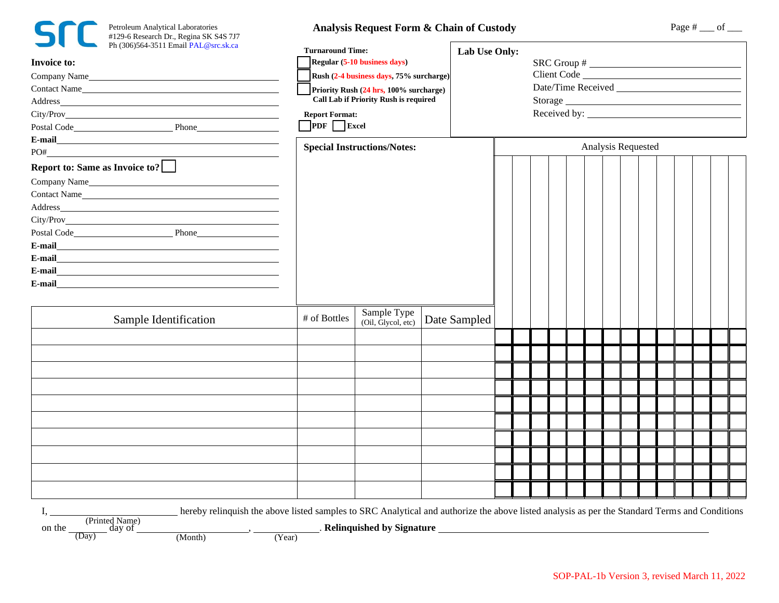| Petroleum Analy<br>$#129-6$ Research<br>Ph (306)564-351 |
|---------------------------------------------------------|
|                                                         |

ytical Laboratories 1 Dr., Regina SK S4S 7J7

## Analysis Request Form & Chain of Custody Page # \_\_ of \_\_

| Ph (306)564-3511 Email PAL@src.sk.ca<br>Invoice to:<br>Company Name<br>Contact Name<br>Address_ the contract of the contract of the contract of the contract of the contract of the contract of the contract of the contract of the contract of the contract of the contract of the contract of the contract of the c | <b>Turnaround Time:</b><br>Regular (5-10 business days)<br>Rush (2-4 business days, 75% surcharge)<br>Priority Rush (24 hrs, 100% surcharge)<br><b>Call Lab if Priority Rush is required</b><br><b>Report Format:</b><br>$\sqrt{\text{PDF}}$ Excel |                                                                                                                          |              | Lab Use Only:<br>$SRC Group # \n$ |  |  |  |  |  |  |  |  |  |  |
|-----------------------------------------------------------------------------------------------------------------------------------------------------------------------------------------------------------------------------------------------------------------------------------------------------------------------|----------------------------------------------------------------------------------------------------------------------------------------------------------------------------------------------------------------------------------------------------|--------------------------------------------------------------------------------------------------------------------------|--------------|-----------------------------------|--|--|--|--|--|--|--|--|--|--|
|                                                                                                                                                                                                                                                                                                                       | <b>Special Instructions/Notes:</b>                                                                                                                                                                                                                 |                                                                                                                          |              | Analysis Requested                |  |  |  |  |  |  |  |  |  |  |
| Report to: Same as Invoice to?<br>Company Name<br>Contact Name<br>Postal Code Phone Phone<br>E-mail<br><u> 1989 - Johann Harry Harry Harry Harry Harry Harry Harry Harry Harry Harry Harry Harry Harry Harry Harry Harry</u>                                                                                          |                                                                                                                                                                                                                                                    |                                                                                                                          |              |                                   |  |  |  |  |  |  |  |  |  |  |
| Sample Identification                                                                                                                                                                                                                                                                                                 | # of Bottles                                                                                                                                                                                                                                       | Sample Type<br>(Oil, Glycol, etc)                                                                                        | Date Sampled |                                   |  |  |  |  |  |  |  |  |  |  |
|                                                                                                                                                                                                                                                                                                                       |                                                                                                                                                                                                                                                    |                                                                                                                          |              |                                   |  |  |  |  |  |  |  |  |  |  |
|                                                                                                                                                                                                                                                                                                                       |                                                                                                                                                                                                                                                    |                                                                                                                          |              |                                   |  |  |  |  |  |  |  |  |  |  |
|                                                                                                                                                                                                                                                                                                                       |                                                                                                                                                                                                                                                    |                                                                                                                          |              |                                   |  |  |  |  |  |  |  |  |  |  |
|                                                                                                                                                                                                                                                                                                                       |                                                                                                                                                                                                                                                    |                                                                                                                          |              |                                   |  |  |  |  |  |  |  |  |  |  |
|                                                                                                                                                                                                                                                                                                                       |                                                                                                                                                                                                                                                    |                                                                                                                          |              |                                   |  |  |  |  |  |  |  |  |  |  |
|                                                                                                                                                                                                                                                                                                                       |                                                                                                                                                                                                                                                    |                                                                                                                          |              |                                   |  |  |  |  |  |  |  |  |  |  |
|                                                                                                                                                                                                                                                                                                                       |                                                                                                                                                                                                                                                    |                                                                                                                          |              |                                   |  |  |  |  |  |  |  |  |  |  |
|                                                                                                                                                                                                                                                                                                                       |                                                                                                                                                                                                                                                    |                                                                                                                          |              |                                   |  |  |  |  |  |  |  |  |  |  |
|                                                                                                                                                                                                                                                                                                                       |                                                                                                                                                                                                                                                    |                                                                                                                          |              |                                   |  |  |  |  |  |  |  |  |  |  |
|                                                                                                                                                                                                                                                                                                                       |                                                                                                                                                                                                                                                    |                                                                                                                          |              |                                   |  |  |  |  |  |  |  |  |  |  |
|                                                                                                                                                                                                                                                                                                                       |                                                                                                                                                                                                                                                    |                                                                                                                          |              |                                   |  |  |  |  |  |  |  |  |  |  |
| hereby relinquish the above listed samples to SRC Analytical and authorize the above listed analysis as per the Standard Terms and Conditions<br>I,<br>on the $\frac{(\text{Prnrec}_{1}, \dots, \text{Prn})}{(\text{Day})}$<br>(Month)<br>(Year)                                                                      |                                                                                                                                                                                                                                                    | <u>Example 2014</u> Relinquished by Signature 2021 and 2022 and 2022 and 2022 and 2022 and 2022 and 2022 and 2022 and 20 |              |                                   |  |  |  |  |  |  |  |  |  |  |